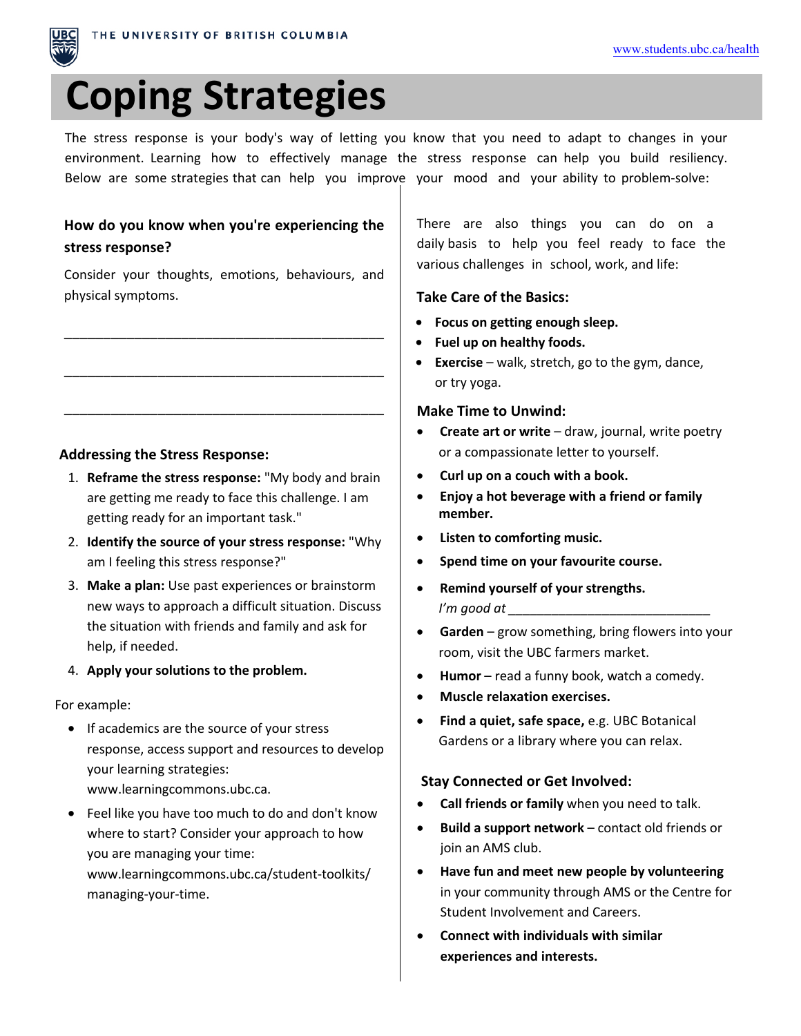

# **Coping Strategies**

The stress response is your body's way of letting you know that you need to adapt to changes in your environment. Learning how to effectively manage the stress response can help you build resiliency. Below are some strategies that can help you improve your mood and your ability to problem-solve:

# **How do you know when you're experiencing the stress response?**

Consider your thoughts, emotions, behaviours, and physical symptoms.

\_\_\_\_\_\_\_\_\_\_\_\_\_\_\_\_\_\_\_\_\_\_\_\_\_\_\_\_\_\_\_\_\_\_\_\_\_\_\_\_\_

\_\_\_\_\_\_\_\_\_\_\_\_\_\_\_\_\_\_\_\_\_\_\_\_\_\_\_\_\_\_\_\_\_\_\_\_\_\_\_\_\_

\_\_\_\_\_\_\_\_\_\_\_\_\_\_\_\_\_\_\_\_\_\_\_\_\_\_\_\_\_\_\_\_\_\_\_\_\_\_\_\_\_

### **Addressing the Stress Response:**

- 1. **Reframe the stress response:** "My body and brain are getting me ready to face this challenge. I am getting ready for an important task."
- 2. **Identify the source of your stress response:** "Why am I feeling this stress response?"
- 3. **Make a plan:** Use past experiences or brainstorm new ways to approach a difficult situation. Discuss the situation with friends and family and ask for [help, if](http://www.learningcommons.ubc.ca.%E2%80%A2Feel) needed.
- 4. **Apply your solutions to the problem.**

managing-your-time.

For example:

- If academics are the source of your stress response, access support and resources to develop your learning strategies: www.learningcommons.ubc.ca.
- Feel like you have too much to do and don't know where to start? Consider your approach to how you are managing your time: www.learningcommons.ubc.ca/student-toolkits/

There are also things you can do on a daily basis to help you feel ready to face the various challenges in school, work, and life:

### **Take Care of the Basics:**

- **Focus on getting enough sleep.**
- **Fuel up on healthy foods.**
- **Exercise** walk, stretch, go to the gym, dance, or try yoga.

#### **Make Time to Unwind:**

- **Create art or write** draw, journal, write poetry or a compassionate letter to yourself.
- **Curl up on a couch with a book.**
- **Enjoy a hot beverage with a friend or family member.**
- **Listen to comforting music.**
- **Spend time on your favourite course.**
- **Remind yourself of your strengths.** *I'm good at*
- **Garden** grow something, bring flowers into your room, visit the UBC farmers market.
- **Humor** read a funny book, watch a comedy.
- **Muscle relaxation exercises.**
- **Find a quiet, safe space,** e.g. UBC Botanical Gardens or a library where you can relax.

#### **Stay Connected or Get Involved:**

- **Call friends or family** when you need to talk.
- **Build a support network**  contact old friends or join an AMS club.
- **Have fun and meet new people by volunteering** in your community through AMS or the Centre for Student Involvement and Careers.
- **Connect with individuals with similar experiences and interests.**